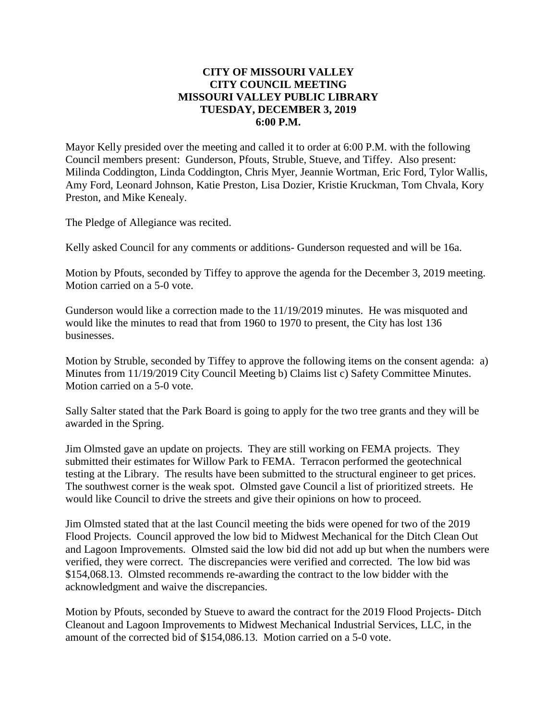## **CITY OF MISSOURI VALLEY CITY COUNCIL MEETING MISSOURI VALLEY PUBLIC LIBRARY TUESDAY, DECEMBER 3, 2019 6:00 P.M.**

Mayor Kelly presided over the meeting and called it to order at 6:00 P.M. with the following Council members present: Gunderson, Pfouts, Struble, Stueve, and Tiffey. Also present: Milinda Coddington, Linda Coddington, Chris Myer, Jeannie Wortman, Eric Ford, Tylor Wallis, Amy Ford, Leonard Johnson, Katie Preston, Lisa Dozier, Kristie Kruckman, Tom Chvala, Kory Preston, and Mike Kenealy.

The Pledge of Allegiance was recited.

Kelly asked Council for any comments or additions- Gunderson requested and will be 16a.

Motion by Pfouts, seconded by Tiffey to approve the agenda for the December 3, 2019 meeting. Motion carried on a 5-0 vote.

Gunderson would like a correction made to the 11/19/2019 minutes. He was misquoted and would like the minutes to read that from 1960 to 1970 to present, the City has lost 136 businesses.

Motion by Struble, seconded by Tiffey to approve the following items on the consent agenda: a) Minutes from 11/19/2019 City Council Meeting b) Claims list c) Safety Committee Minutes. Motion carried on a 5-0 vote.

Sally Salter stated that the Park Board is going to apply for the two tree grants and they will be awarded in the Spring.

Jim Olmsted gave an update on projects. They are still working on FEMA projects. They submitted their estimates for Willow Park to FEMA. Terracon performed the geotechnical testing at the Library. The results have been submitted to the structural engineer to get prices. The southwest corner is the weak spot. Olmsted gave Council a list of prioritized streets. He would like Council to drive the streets and give their opinions on how to proceed.

Jim Olmsted stated that at the last Council meeting the bids were opened for two of the 2019 Flood Projects. Council approved the low bid to Midwest Mechanical for the Ditch Clean Out and Lagoon Improvements. Olmsted said the low bid did not add up but when the numbers were verified, they were correct. The discrepancies were verified and corrected. The low bid was \$154,068.13. Olmsted recommends re-awarding the contract to the low bidder with the acknowledgment and waive the discrepancies.

Motion by Pfouts, seconded by Stueve to award the contract for the 2019 Flood Projects- Ditch Cleanout and Lagoon Improvements to Midwest Mechanical Industrial Services, LLC, in the amount of the corrected bid of \$154,086.13. Motion carried on a 5-0 vote.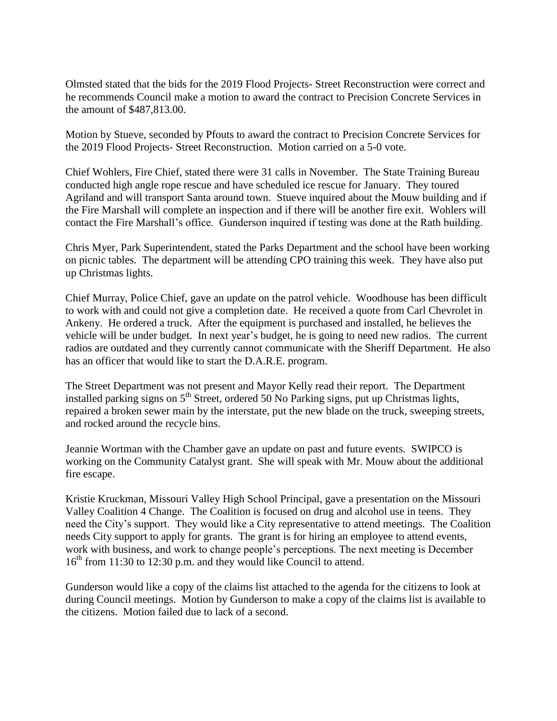Olmsted stated that the bids for the 2019 Flood Projects- Street Reconstruction were correct and he recommends Council make a motion to award the contract to Precision Concrete Services in the amount of \$487,813.00.

Motion by Stueve, seconded by Pfouts to award the contract to Precision Concrete Services for the 2019 Flood Projects- Street Reconstruction. Motion carried on a 5-0 vote.

Chief Wohlers, Fire Chief, stated there were 31 calls in November. The State Training Bureau conducted high angle rope rescue and have scheduled ice rescue for January. They toured Agriland and will transport Santa around town. Stueve inquired about the Mouw building and if the Fire Marshall will complete an inspection and if there will be another fire exit. Wohlers will contact the Fire Marshall's office. Gunderson inquired if testing was done at the Rath building.

Chris Myer, Park Superintendent, stated the Parks Department and the school have been working on picnic tables. The department will be attending CPO training this week. They have also put up Christmas lights.

Chief Murray, Police Chief, gave an update on the patrol vehicle. Woodhouse has been difficult to work with and could not give a completion date. He received a quote from Carl Chevrolet in Ankeny. He ordered a truck. After the equipment is purchased and installed, he believes the vehicle will be under budget. In next year's budget, he is going to need new radios. The current radios are outdated and they currently cannot communicate with the Sheriff Department. He also has an officer that would like to start the D.A.R.E. program.

The Street Department was not present and Mayor Kelly read their report. The Department installed parking signs on  $5<sup>th</sup>$  Street, ordered 50 No Parking signs, put up Christmas lights, repaired a broken sewer main by the interstate, put the new blade on the truck, sweeping streets, and rocked around the recycle bins.

Jeannie Wortman with the Chamber gave an update on past and future events. SWIPCO is working on the Community Catalyst grant. She will speak with Mr. Mouw about the additional fire escape.

Kristie Kruckman, Missouri Valley High School Principal, gave a presentation on the Missouri Valley Coalition 4 Change. The Coalition is focused on drug and alcohol use in teens. They need the City's support. They would like a City representative to attend meetings. The Coalition needs City support to apply for grants. The grant is for hiring an employee to attend events, work with business, and work to change people's perceptions. The next meeting is December  $16<sup>th</sup>$  from 11:30 to 12:30 p.m. and they would like Council to attend.

Gunderson would like a copy of the claims list attached to the agenda for the citizens to look at during Council meetings. Motion by Gunderson to make a copy of the claims list is available to the citizens. Motion failed due to lack of a second.